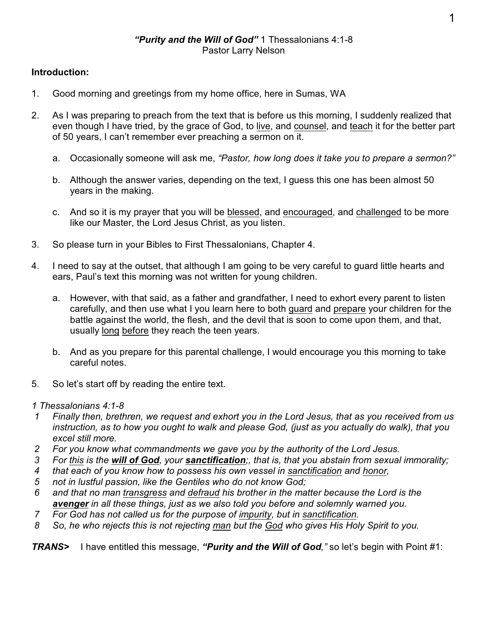## **Introduction:**

- 1. Good morning and greetings from my home office, here in Sumas, WA
- 2. As I was preparing to preach from the text that is before us this morning, I suddenly realized that even though I have tried, by the grace of God, to live, and counsel, and teach it for the better part of 50 years, I can't remember ever preaching a sermon on it.
	- a. Occasionally someone will ask me, *"Pastor, how long does it take you to prepare a sermon?"*
	- b. Although the answer varies, depending on the text, I guess this one has been almost 50 years in the making.
	- c. And so it is my prayer that you will be blessed, and encouraged, and challenged to be more like our Master, the Lord Jesus Christ, as you listen.
- 3. So please turn in your Bibles to First Thessalonians, Chapter 4.
- 4. I need to say at the outset, that although I am going to be very careful to guard little hearts and ears, Paul's text this morning was not written for young children.
	- a. However, with that said, as a father and grandfather, I need to exhort every parent to listen carefully, and then use what I you learn here to both guard and prepare your children for the battle against the world, the flesh, and the devil that is soon to come upon them, and that, usually long before they reach the teen years.
	- b. And as you prepare for this parental challenge, I would encourage you this morning to take careful notes.
- 5. So let's start off by reading the entire text.

*1 Thessalonians 4:1-8*

- *1 Finally then, brethren, we request and exhort you in the Lord Jesus, that as you received from us instruction, as to how you ought to walk and please God, (just as you actually do walk), that you excel still more.*
- *2 For you know what commandments we gave you by the authority of the Lord Jesus.*
- *3 For this is the will of God, your sanctification;, that is, that you abstain from sexual immorality;*
- *4 that each of you know how to possess his own vessel in sanctification and honor,*
- *5 not in lustful passion, like the Gentiles who do not know God;*
- *6 and that no man transgress and defraud his brother in the matter because the Lord is the avenger in all these things, just as we also told you before and solemnly warned you.*
- *7 For God has not called us for the purpose of impurity, but in sanctification.*
- *8 So, he who rejects this is not rejecting man but the God who gives His Holy Spirit to you.*

*TRANS>* I have entitled this message, *"Purity and the Will of God,"* so let's begin with Point #1: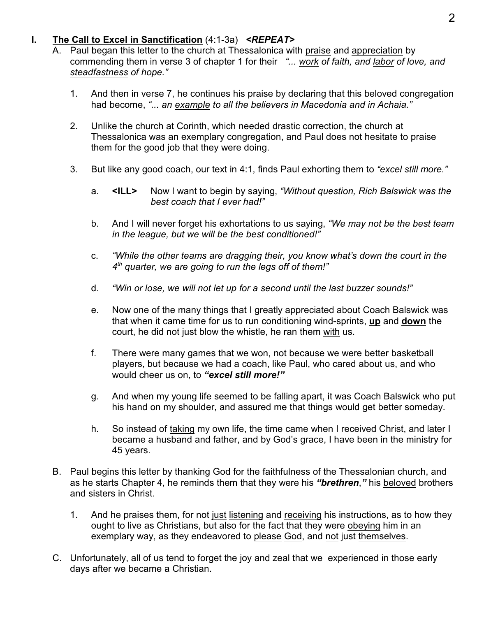#### **I. The Call to Excel in Sanctification** (4:1-3a) *<REPEAT>*

- A. Paul began this letter to the church at Thessalonica with praise and appreciation by commending them in verse 3 of chapter 1 for their *"... work of faith, and labor of love, and steadfastness of hope."*
	- 1. And then in verse 7, he continues his praise by declaring that this beloved congregation had become, *"... an example to all the believers in Macedonia and in Achaia."*
	- 2. Unlike the church at Corinth, which needed drastic correction, the church at Thessalonica was an exemplary congregation, and Paul does not hesitate to praise them for the good job that they were doing.
	- 3. But like any good coach, our text in 4:1, finds Paul exhorting them to *"excel still more."*
		- a. **<ILL>** Now I want to begin by saying, *"Without question, Rich Balswick was the best coach that I ever had!"*
		- b. And I will never forget his exhortations to us saying, *"We may not be the best team in the league, but we will be the best conditioned!"*
		- c. *"While the other teams are dragging their, you know what's down the court in the*  $4<sup>th</sup>$  quarter, we are going to run the legs off of them!"
		- d. *"Win or lose, we will not let up for a second until the last buzzer sounds!"*
		- e. Now one of the many things that I greatly appreciated about Coach Balswick was that when it came time for us to run conditioning wind-sprints, **up** and **down** the court, he did not just blow the whistle, he ran them with us.
		- f. There were many games that we won, not because we were better basketball players, but because we had a coach, like Paul, who cared about us, and who would cheer us on, to *"excel still more!"*
		- g. And when my young life seemed to be falling apart, it was Coach Balswick who put his hand on my shoulder, and assured me that things would get better someday.
		- h. So instead of taking my own life, the time came when I received Christ, and later I became a husband and father, and by God's grace, I have been in the ministry for 45 years.
- B. Paul begins this letter by thanking God for the faithfulness of the Thessalonian church, and as he starts Chapter 4, he reminds them that they were his *"brethren*,*"* his beloved brothers and sisters in Christ.
	- 1. And he praises them, for not just listening and receiving his instructions, as to how they ought to live as Christians, but also for the fact that they were obeying him in an exemplary way, as they endeavored to please God, and not just themselves.
- C. Unfortunately, all of us tend to forget the joy and zeal that we experienced in those early days after we became a Christian.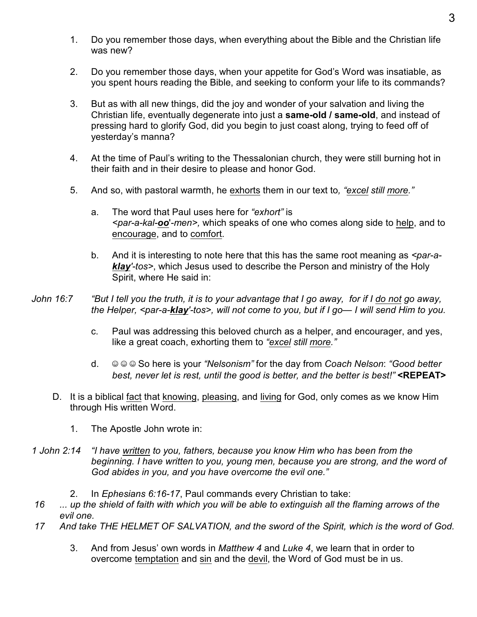- 1. Do you remember those days, when everything about the Bible and the Christian life was new?
- 2. Do you remember those days, when your appetite for God's Word was insatiable, as you spent hours reading the Bible, and seeking to conform your life to its commands?
- 3. But as with all new things, did the joy and wonder of your salvation and living the Christian life, eventually degenerate into just a **same-old / same-old**, and instead of pressing hard to glorify God, did you begin to just coast along, trying to feed off of yesterday's manna?
- 4. At the time of Paul's writing to the Thessalonian church, they were still burning hot in their faith and in their desire to please and honor God.
- 5. And so, with pastoral warmth, he exhorts them in our text to*, "excel still more."*
	- a. The word that Paul uses here for *"exhort"* is *<par-a-kal-oo*'*-men>,* which speaks of one who comes along side to help, and to encourage, and to comfort.
	- b. And it is interesting to note here that this has the same root meaning as *<par-aklay'-tos>*, which Jesus used to describe the Person and ministry of the Holy Spirit, where He said in:
- *John 16:7 "But I tell you the truth, it is to your advantage that I go away, for if I do not go away, the Helper, <par-a-klay'-tos>, will not come to you, but if I go— I will send Him to you.*
	- c. Paul was addressing this beloved church as a helper, and encourager, and yes, like a great coach, exhorting them to *"excel still more."*
	- d. ( ( ( So here is your *"Nelsonism"* for the day from *Coach Nelson*: *"Good better best, never let is rest, until the good is better, and the better is best!"* **<REPEAT>**
	- D. It is a biblical fact that knowing, pleasing, and living for God, only comes as we know Him through His written Word.
		- 1. The Apostle John wrote in:
- *1 John 2:14 "I have written to you, fathers, because you know Him who has been from the beginning. I have written to you, young men, because you are strong, and the word of God abides in you, and you have overcome the evil one."*
	- 2. In *Ephesians 6:16-17*, Paul commands every Christian to take:
- *16 ... up the shield of faith with which you will be able to extinguish all the flaming arrows of the evil one.*
- *17 And take THE HELMET OF SALVATION, and the sword of the Spirit, which is the word of God.*
	- 3. And from Jesus' own words in *Matthew 4* and *Luke 4*, we learn that in order to overcome temptation and sin and the devil, the Word of God must be in us.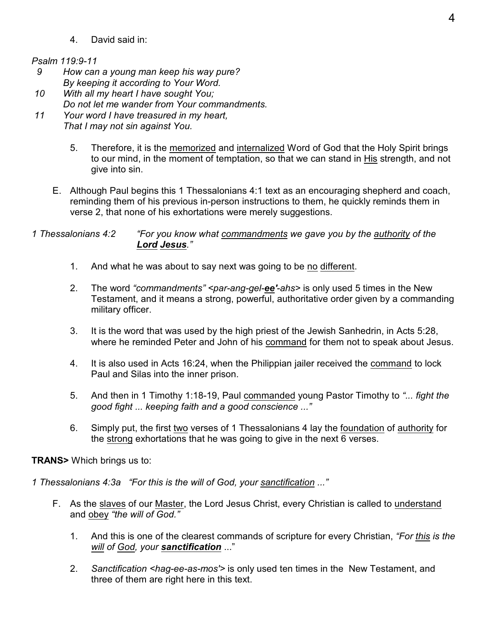4. David said in:

#### *Psalm 119:9-11*

- *9 How can a young man keep his way pure? By keeping it according to Your Word.*
- *10 With all my heart I have sought You; Do not let me wander from Your commandments.*
- *11 Your word I have treasured in my heart, That I may not sin against You.*
	- 5. Therefore, it is the memorized and internalized Word of God that the Holy Spirit brings to our mind, in the moment of temptation, so that we can stand in His strength, and not give into sin.
	- E. Although Paul begins this 1 Thessalonians 4:1 text as an encouraging shepherd and coach, reminding them of his previous in-person instructions to them, he quickly reminds them in verse 2, that none of his exhortations were merely suggestions.
- *1 Thessalonians 4:2 "For you know what commandments we gave you by the authority of the Lord Jesus."*
	- 1. And what he was about to say next was going to be no different.
	- 2. The word *"commandments" <par-ang-gel-ee'-ahs>* is only used 5 times in the New Testament, and it means a strong, powerful, authoritative order given by a commanding military officer.
	- 3. It is the word that was used by the high priest of the Jewish Sanhedrin, in Acts 5:28, where he reminded Peter and John of his command for them not to speak about Jesus.
	- 4. It is also used in Acts 16:24, when the Philippian jailer received the command to lock Paul and Silas into the inner prison.
	- 5. And then in 1 Timothy 1:18-19, Paul commanded young Pastor Timothy to *"... fight the good fight ... keeping faith and a good conscience ..."*
	- 6. Simply put, the first two verses of 1 Thessalonians 4 lay the foundation of authority for the strong exhortations that he was going to give in the next 6 verses.

**TRANS>** Which brings us to:

*1 Thessalonians 4:3a "For this is the will of God, your sanctification ..."*

- F. As the slaves of our Master, the Lord Jesus Christ, every Christian is called to understand and obey *"the will of God."*
	- 1. And this is one of the clearest commands of scripture for every Christian, *"For this is the will of God, your sanctification* ..."
	- 2. *Sanctification <hag-ee-as-mos'>* is only used ten times in the New Testament, and three of them are right here in this text.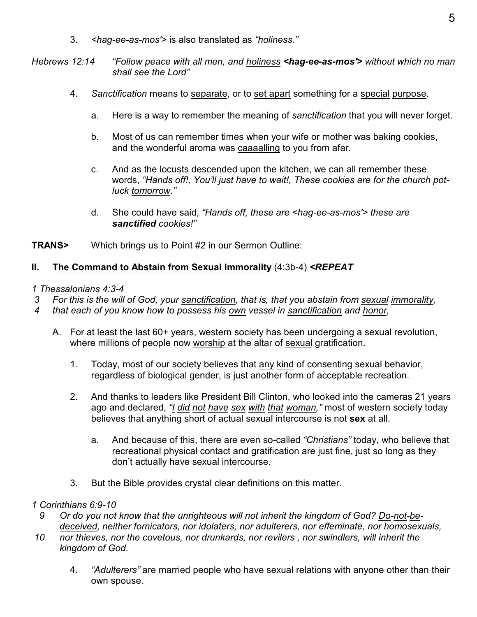3. *<hag-ee-as-mos'>* is also translated as *"holiness."*

*Hebrews 12:14 "Follow peace with all men, and holiness <hag-ee-as-mos'> without which no man shall see the Lord"*

- 4. *Sanctification* means to separate, or to set apart something for a special purpose.
	- a. Here is a way to remember the meaning of *sanctification* that you will never forget.
	- b. Most of us can remember times when your wife or mother was baking cookies, and the wonderful aroma was caaaalling to you from afar.
	- c. And as the locusts descended upon the kitchen, we can all remember these words, *"Hands off!, You'll just have to wait!, These cookies are for the church potluck tomorrow."*
	- d. She could have said, *"Hands off, these are <hag-ee-as-mos'> these are sanctified cookies!"*

**TRANS>** Which brings us to Point #2 in our Sermon Outline:

## **II. The Command to Abstain from Sexual Immorality** (4:3b-4) *<REPEAT*

## *1 Thessalonians 4:3-4*

- *3 For this is the will of God, your sanctification, that is, that you abstain from sexual immorality,*
- *4 that each of you know how to possess his own vessel in sanctification and honor,*
	- A. For at least the last 60+ years, western society has been undergoing a sexual revolution, where millions of people now worship at the altar of sexual gratification.
		- 1. Today, most of our society believes that any kind of consenting sexual behavior, regardless of biological gender, is just another form of acceptable recreation.
		- 2. And thanks to leaders like President Bill Clinton, who looked into the cameras 21 years ago and declared, *"I did not have sex with that woman,"* most of western society today believes that anything short of actual sexual intercourse is not **sex** at all.
			- a. And because of this, there are even so-called *"Christians"* today, who believe that recreational physical contact and gratification are just fine, just so long as they don't actually have sexual intercourse.
		- 3. But the Bible provides crystal clear definitions on this matter.

## *1 Corinthians 6:9-10*

- *9 Or do you not know that the unrighteous will not inherit the kingdom of God? Do-not-bedeceived, neither fornicators, nor idolaters, nor adulterers, nor effeminate, nor homosexuals,*
- *10 nor thieves, nor the covetous, nor drunkards, nor revilers , nor swindlers, will inherit the kingdom of God.*
	- 4. *"Adulterers"* are married people who have sexual relations with anyone other than their own spouse.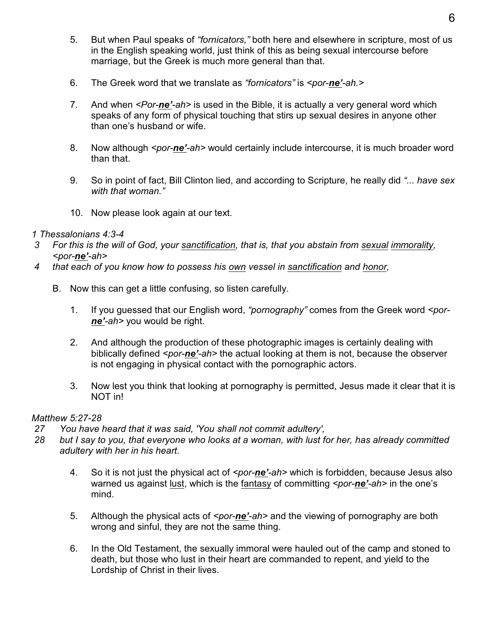- 5. But when Paul speaks of *"fornicators,"* both here and elsewhere in scripture, most of us in the English speaking world, just think of this as being sexual intercourse before marriage, but the Greek is much more general than that.
- 6. The Greek word that we translate as *"fornicators"* is *<por-ne'-ah.>*
- 7. And when *<Por-ne'-ah>* is used in the Bible, it is actually a very general word which speaks of any form of physical touching that stirs up sexual desires in anyone other than one's husband or wife.
- 8. Now although *<por-ne'-ah>* would certainly include intercourse, it is much broader word than that.
- 9. So in point of fact, Bill Clinton lied, and according to Scripture, he really did *"... have sex with that woman."*
- 10. Now please look again at our text.

#### *1 Thessalonians 4:3-4*

- *3 For this is the will of God, your sanctification, that is, that you abstain from sexual immorality, <por-ne'-ah>*
- *4 that each of you know how to possess his own vessel in sanctification and honor,*
	- B. Now this can get a little confusing, so listen carefully.
		- 1. If you guessed that our English word, *"pornography"* comes from the Greek word *<porne'-ah>* you would be right.
		- 2. And although the production of these photographic images is certainly dealing with biblically defined *<por-ne'-ah>* the actual looking at them is not, because the observer is not engaging in physical contact with the pornographic actors.
		- 3. Now lest you think that looking at pornography is permitted, Jesus made it clear that it is NOT in!

## *Matthew 5:27-28*

- *27 You have heard that it was said, 'You shall not commit adultery',*
- *28 but I say to you, that everyone who looks at a woman, with lust for her, has already committed adultery with her in his heart.*
	- 4. So it is not just the physical act of *<por-ne'-ah>* which is forbidden, because Jesus also warned us against lust, which is the fantasy of committing *<por-ne'-ah>* in the one's mind.
	- 5. Although the physical acts of *<por-ne'*-ah> and the viewing of pornography are both wrong and sinful, they are not the same thing.
	- 6. In the Old Testament, the sexually immoral were hauled out of the camp and stoned to death, but those who lust in their heart are commanded to repent, and yield to the Lordship of Christ in their lives.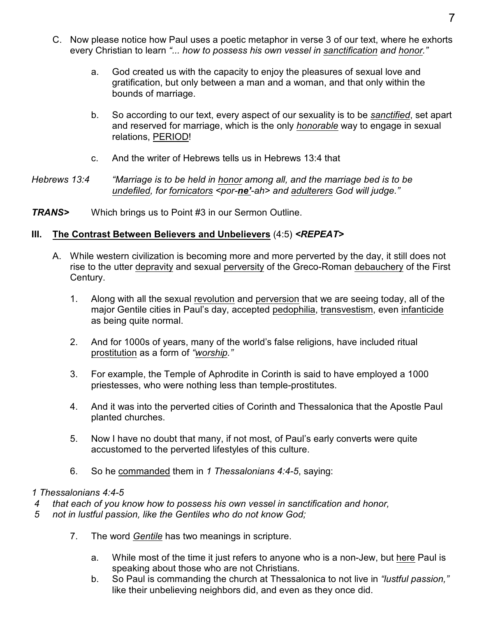- C. Now please notice how Paul uses a poetic metaphor in verse 3 of our text, where he exhorts every Christian to learn *"... how to possess his own vessel in sanctification and honor."*
	- a. God created us with the capacity to enjoy the pleasures of sexual love and gratification, but only between a man and a woman, and that only within the bounds of marriage.
	- b. So according to our text, every aspect of our sexuality is to be *sanctified*, set apart and reserved for marriage, which is the only *honorable* way to engage in sexual relations, PERIOD!
	- c. And the writer of Hebrews tells us in Hebrews 13:4 that

### *Hebrews 13:4 "Marriage is to be held in honor among all, and the marriage bed is to be undefiled, for fornicators <por-ne'-ah> and adulterers God will judge."*

*TRANS>* Which brings us to Point #3 in our Sermon Outline.

## **III. The Contrast Between Believers and Unbelievers** (4:5) *<REPEAT>*

- A. While western civilization is becoming more and more perverted by the day, it still does not rise to the utter depravity and sexual perversity of the Greco-Roman debauchery of the First Century.
	- 1. Along with all the sexual revolution and perversion that we are seeing today, all of the major Gentile cities in Paul's day, accepted pedophilia, transvestism, even infanticide as being quite normal.
	- 2. And for 1000s of years, many of the world's false religions, have included ritual prostitution as a form of *"worship."*
	- 3. For example, the Temple of Aphrodite in Corinth is said to have employed a 1000 priestesses, who were nothing less than temple-prostitutes.
	- 4. And it was into the perverted cities of Corinth and Thessalonica that the Apostle Paul planted churches.
	- 5. Now I have no doubt that many, if not most, of Paul's early converts were quite accustomed to the perverted lifestyles of this culture.
	- 6. So he commanded them in *1 Thessalonians 4:4-5*, saying:

## *1 Thessalonians 4:4-5*

- *4 that each of you know how to possess his own vessel in sanctification and honor,*
- *5 not in lustful passion, like the Gentiles who do not know God;*
	- 7. The word *Gentile* has two meanings in scripture.
		- a. While most of the time it just refers to anyone who is a non-Jew, but here Paul is speaking about those who are not Christians.
		- b. So Paul is commanding the church at Thessalonica to not live in *"lustful passion,"* like their unbelieving neighbors did, and even as they once did.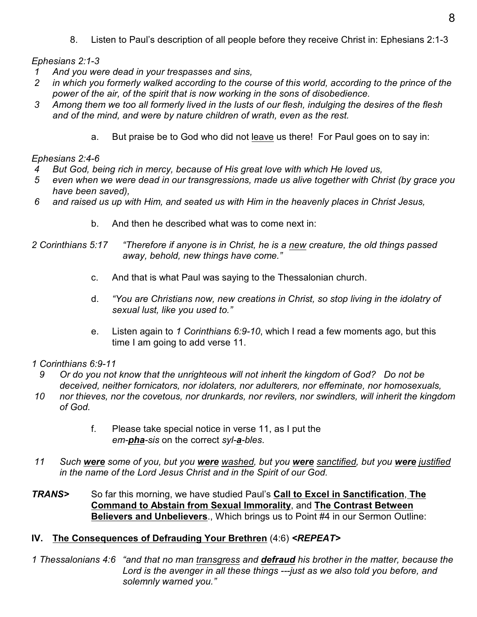8. Listen to Paul's description of all people before they receive Christ in: Ephesians 2:1-3

*Ephesians 2:1-3*

- *1 And you were dead in your trespasses and sins,*
- *2 in which you formerly walked according to the course of this world, according to the prince of the power of the air, of the spirit that is now working in the sons of disobedience.*
- *3 Among them we too all formerly lived in the lusts of our flesh, indulging the desires of the flesh and of the mind, and were by nature children of wrath, even as the rest.*
	- a. But praise be to God who did not leave us there! For Paul goes on to say in:

## *Ephesians 2:4-6*

- *4 But God, being rich in mercy, because of His great love with which He loved us,*
- *5 even when we were dead in our transgressions, made us alive together with Christ (by grace you have been saved),*
- *6 and raised us up with Him, and seated us with Him in the heavenly places in Christ Jesus,*
	- b. And then he described what was to come next in:
- *2 Corinthians 5:17 "Therefore if anyone is in Christ, he is a new creature, the old things passed away, behold, new things have come."*
	- c. And that is what Paul was saying to the Thessalonian church.
	- d. *"You are Christians now, new creations in Christ, so stop living in the idolatry of sexual lust, like you used to."*
	- e. Listen again to *1 Corinthians 6:9-10*, which I read a few moments ago, but this time I am going to add verse 11.

## *1 Corinthians 6:9-11*

- *9 Or do you not know that the unrighteous will not inherit the kingdom of God? Do not be deceived, neither fornicators, nor idolaters, nor adulterers, nor effeminate, nor homosexuals,*
- *10 nor thieves, nor the covetous, nor drunkards, nor revilers, nor swindlers, will inherit the kingdom of God.*
	- f. Please take special notice in verse 11, as I put the *em-pha-sis* on the correct *syl-a-bles*.
- *11 Such were some of you, but you were washed, but you were sanctified, but you were justified in the name of the Lord Jesus Christ and in the Spirit of our God.*
- *TRANS>* So far this morning, we have studied Paul's **Call to Excel in Sanctification**, **The Command to Abstain from Sexual Immorality**, and **The Contrast Between Believers and Unbelievers**., Which brings us to Point #4 in our Sermon Outline:

## **IV. The Consequences of Defrauding Your Brethren** (4:6) *<REPEAT>*

*1 Thessalonians 4:6 "and that no man transgress and defraud his brother in the matter, because the Lord is the avenger in all these things ---just as we also told you before, and solemnly warned you."*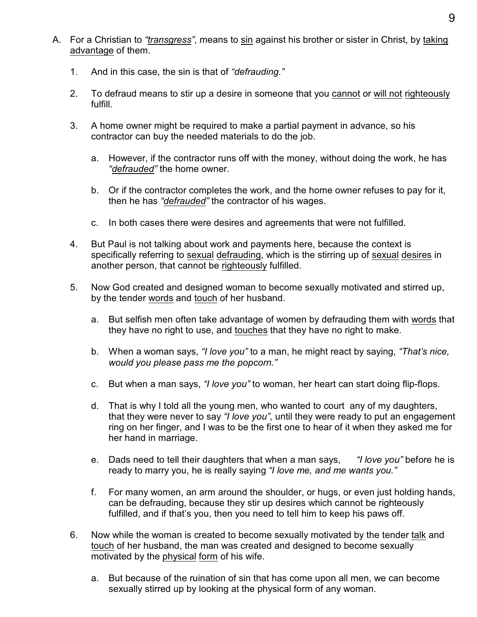- A. For a Christian to *"transgress"*, means to sin against his brother or sister in Christ, by taking advantage of them.
	- 1. And in this case, the sin is that of *"defrauding."*
	- 2. To defraud means to stir up a desire in someone that you cannot or will not righteously fulfill.
	- 3. A home owner might be required to make a partial payment in advance, so his contractor can buy the needed materials to do the job.
		- a. However, if the contractor runs off with the money, without doing the work, he has *"defrauded"* the home owner.
		- b. Or if the contractor completes the work, and the home owner refuses to pay for it, then he has *"defrauded"* the contractor of his wages.
		- c. In both cases there were desires and agreements that were not fulfilled.
	- 4. But Paul is not talking about work and payments here, because the context is specifically referring to sexual defrauding, which is the stirring up of sexual desires in another person, that cannot be righteously fulfilled.
	- 5. Now God created and designed woman to become sexually motivated and stirred up, by the tender words and touch of her husband.
		- a. But selfish men often take advantage of women by defrauding them with words that they have no right to use, and touches that they have no right to make.
		- b. When a woman says, *"I love you"* to a man, he might react by saying, *"That's nice, would you please pass me the popcorn."*
		- c. But when a man says, *"I love you"* to woman, her heart can start doing flip-flops.
		- d. That is why I told all the young men, who wanted to court any of my daughters, that they were never to say *"I love you"*, until they were ready to put an engagement ring on her finger, and I was to be the first one to hear of it when they asked me for her hand in marriage.
		- e. Dads need to tell their daughters that when a man says, *"I love you"* before he is ready to marry you, he is really saying *"I love me, and me wants you."*
		- f. For many women, an arm around the shoulder, or hugs, or even just holding hands, can be defrauding, because they stir up desires which cannot be righteously fulfilled, and if that's you, then you need to tell him to keep his paws off.
	- 6. Now while the woman is created to become sexually motivated by the tender talk and touch of her husband, the man was created and designed to become sexually motivated by the physical form of his wife.
		- a. But because of the ruination of sin that has come upon all men, we can become sexually stirred up by looking at the physical form of any woman.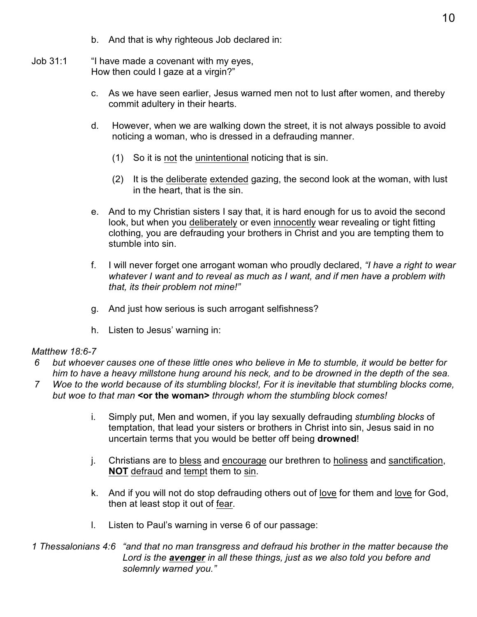- b. And that is why righteous Job declared in:
- Job 31:1 "I have made a covenant with my eyes, How then could I gaze at a virgin?"
	- c. As we have seen earlier, Jesus warned men not to lust after women, and thereby commit adultery in their hearts.
	- d. However, when we are walking down the street, it is not always possible to avoid noticing a woman, who is dressed in a defrauding manner.
		- (1) So it is not the unintentional noticing that is sin.
		- (2) It is the deliberate extended gazing, the second look at the woman, with lust in the heart, that is the sin.
	- e. And to my Christian sisters I say that, it is hard enough for us to avoid the second look, but when you deliberately or even innocently wear revealing or tight fitting clothing, you are defrauding your brothers in Christ and you are tempting them to stumble into sin.
	- f. I will never forget one arrogant woman who proudly declared, *"I have a right to wear whatever I want and to reveal as much as I want, and if men have a problem with that, its their problem not mine!"*
	- g. And just how serious is such arrogant selfishness?
	- h. Listen to Jesus' warning in:

## *Matthew 18:6-7*

- *6 but whoever causes one of these little ones who believe in Me to stumble, it would be better for him to have a heavy millstone hung around his neck, and to be drowned in the depth of the sea.*
- *7 Woe to the world because of its stumbling blocks!, For it is inevitable that stumbling blocks come, but woe to that man* **<or the woman>** *through whom the stumbling block comes!*
	- i. Simply put, Men and women, if you lay sexually defrauding *stumbling blocks* of temptation, that lead your sisters or brothers in Christ into sin, Jesus said in no uncertain terms that you would be better off being **drowned**!
	- j. Christians are to bless and encourage our brethren to holiness and sanctification, **NOT** defraud and tempt them to sin.
	- k. And if you will not do stop defrauding others out of love for them and love for God, then at least stop it out of fear.
	- l. Listen to Paul's warning in verse 6 of our passage:
- *1 Thessalonians 4:6 "and that no man transgress and defraud his brother in the matter because the Lord is the avenger in all these things, just as we also told you before and solemnly warned you."*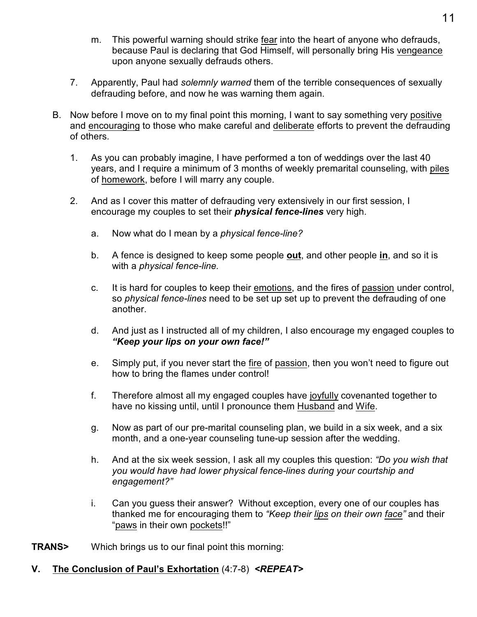- m. This powerful warning should strike fear into the heart of anyone who defrauds, because Paul is declaring that God Himself, will personally bring His vengeance upon anyone sexually defrauds others.
- 7. Apparently, Paul had *solemnly warned* them of the terrible consequences of sexually defrauding before, and now he was warning them again.
- B. Now before I move on to my final point this morning, I want to say something very positive and encouraging to those who make careful and deliberate efforts to prevent the defrauding of others.
	- 1. As you can probably imagine, I have performed a ton of weddings over the last 40 years, and I require a minimum of 3 months of weekly premarital counseling, with piles of homework, before I will marry any couple.
	- 2. And as I cover this matter of defrauding very extensively in our first session, I encourage my couples to set their *physical fence-lines* very high.
		- a. Now what do I mean by a *physical fence-line?*
		- b. A fence is designed to keep some people **out**, and other people **in**, and so it is with a *physical fence-line.*
		- c. It is hard for couples to keep their emotions, and the fires of passion under control, so *physical fence-lines* need to be set up set up to prevent the defrauding of one another.
		- d. And just as I instructed all of my children, I also encourage my engaged couples to *"Keep your lips on your own face!"*
		- e. Simply put, if you never start the fire of passion, then you won't need to figure out how to bring the flames under control!
		- f. Therefore almost all my engaged couples have joyfully covenanted together to have no kissing until, until I pronounce them Husband and Wife.
		- g. Now as part of our pre-marital counseling plan, we build in a six week, and a six month, and a one-year counseling tune-up session after the wedding.
		- h. And at the six week session, I ask all my couples this question: *"Do you wish that you would have had lower physical fence-lines during your courtship and engagement?"*
		- i. Can you guess their answer? Without exception, every one of our couples has thanked me for encouraging them to *"Keep their lips on their own face"* and their "paws in their own pockets!!"
- **TRANS>** Which brings us to our final point this morning:

## **V. The Conclusion of Paul's Exhortation** (4:7-8) *<REPEAT>*